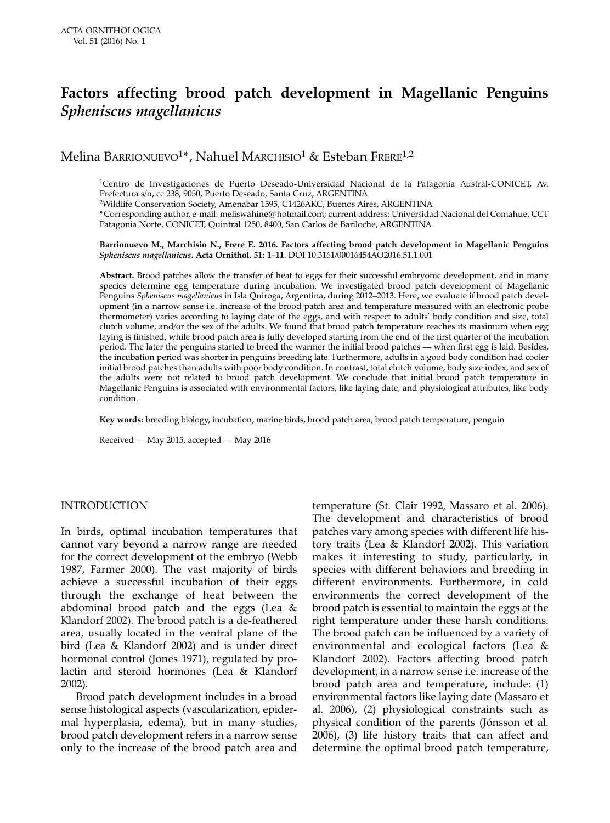# **Factors affecting brood patch development in Magellanic Penguins** *Spheniscus magellanicus*

### Melina BARRIONUEVO<sup>1</sup>\*, Nahuel MARCHISIO<sup>1</sup> & Esteban FRERE<sup>1,2</sup>

1Centro de Investigaciones de Puerto Deseado-Universidad Nacional de la Patagonia Austral-CONICET, Av. Prefectura s/n, cc 238, 9050, Puerto Deseado, Santa Cruz, ARGENTINA

2Wildlife Conservation Society, Amenabar 1595, C1426AKC, Buenos Aires, ARGENTINA

\*Corresponding author, e-mail: meliswahine@hotmail.com; current address: Universidad Nacional del Comahue, CCT Patagonia Norte, CONICET, Quintral 1250, 8400, San Carlos de Bariloche, ARGENTINA

#### **Barrionuevo M., Marchisio N., Frere E. 2016. Factors affecting brood patch development in Magellanic Penguins** *Spheniscus magellanicus***. Acta Ornithol. 51: 1–11.** DOI 10.3161/00016454AO2016.51.1.001

**Abstract.** Brood patches allow the transfer of heat to eggs for their successful embryonic development, and in many species determine egg temperature during incubation. We investigated brood patch development of Magellanic Penguins *Spheniscus magellanicus* in Isla Quiroga, Argentina, during 2012–2013. Here, we evaluate if brood patch development (in a narrow sense i.e. increase of the brood patch area and temperature measured with an electronic probe thermometer) varies according to laying date of the eggs, and with respect to adults' body condition and size, total clutch volume, and/or the sex of the adults. We found that brood patch temperature reaches its maximum when egg laying is finished, while brood patch area is fully developed starting from the end of the first quarter of the incubation period. The later the penguins started to breed the warmer the initial brood patches — when first egg is laid. Besides, the incubation period was shorter in penguins breeding late. Furthermore, adults in a good body condition had cooler initial brood patches than adults with poor body condition. In contrast, total clutch volume, body size index, and sex of the adults were not related to brood patch development. We conclude that initial brood patch temperature in Magellanic Penguins is associated with environmental factors, like laying date, and physiological attributes, like body condition.

**Key words:** breeding biology, incubation, marine birds, brood patch area, brood patch temperature, penguin

Received — May 2015, accepted — May 2016

### **INTRODUCTION**

In birds, optimal incubation temperatures that cannot vary beyond a narrow range are needed for the correct development of the embryo (Webb 1987, Farmer 2000). The vast majority of birds achieve a successful incubation of their eggs through the exchange of heat between the abdominal brood patch and the eggs (Lea & Klandorf 2002). The brood patch is a de-feathered area, usually located in the ventral plane of the bird (Lea & Klandorf 2002) and is under direct hormonal control (Jones 1971), regulated by prolactin and steroid hormones (Lea & Klandorf 2002).

Brood patch development includes in a broad sense histological aspects (vascularization, epidermal hyperplasia, edema), but in many studies, brood patch development refers in a narrow sense only to the increase of the brood patch area and

temperature (St. Clair 1992, Massaro et al. 2006). The development and characteristics of brood patches vary among species with different life history traits (Lea & Klandorf 2002). This variation makes it interesting to study, particularly, in species with different behaviors and breeding in different environments. Furthermore, in cold environments the correct development of the brood patch is essential to maintain the eggs at the right temperature under these harsh conditions. The brood patch can be influenced by a variety of environmental and ecological factors (Lea & Klandorf 2002). Factors affecting brood patch development, in a narrow sense i.e. increase of the brood patch area and temperature, include: (1) environmental factors like laying date (Massaro et al. 2006), (2) physiological constraints such as physical condition of the parents (Jónsson et al. 2006), (3) life history traits that can affect and determine the optimal brood patch temperature,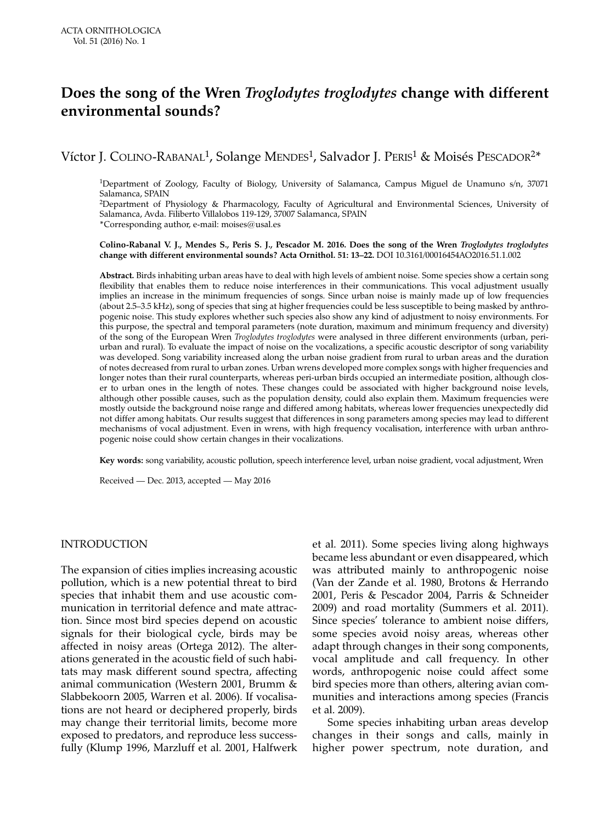# **Does the song of the Wren** *Troglodytes troglodytes* **change with different environmental sounds?**

Víctor J. COLINO-RABANAL<sup>1</sup>, Solange MENDES<sup>1</sup>, Salvador J. PERIS<sup>1</sup> & Moisés PESCADOR<sup>2\*</sup>

1Department of Zoology, Faculty of Biology, University of Salamanca, Campus Miguel de Unamuno s/n, 37071 Salamanca, SPAIN

2Department of Physiology & Pharmacology, Faculty of Agricultural and Environmental Sciences, University of Salamanca, Avda. Filiberto Villalobos 119-129, 37007 Salamanca, SPAIN

\*Corresponding author, e-mail: moises@usal.es

#### **Colino-Rabanal V. J., Mendes S., Peris S. J., Pescador M. 2016. Does the song of the Wren** *Troglodytes troglodytes* **change with different environmental sounds? Acta Ornithol. 51: 13–22.** DOI 10.3161/00016454AO2016.51.1.002

**Abstract.** Birds inhabiting urban areas have to deal with high levels of ambient noise. Some species show a certain song flexibility that enables them to reduce noise interferences in their communications. This vocal adjustment usually implies an increase in the minimum frequencies of songs. Since urban noise is mainly made up of low frequencies (about 2.5–3.5 kHz), song of species that sing at higher frequencies could be less susceptible to being masked by anthropogenic noise. This study explores whether such species also show any kind of adjustment to noisy environments. For this purpose, the spectral and temporal parameters (note duration, maximum and minimum frequency and diversity) of the song of the European Wren *Troglodytes troglodytes* were analysed in three different environments (urban, periurban and rural). To evaluate the impact of noise on the vocalizations, a specific acoustic descriptor of song variability was developed. Song variability increased along the urban noise gradient from rural to urban areas and the duration of notes decreased from rural to urban zones. Urban wrens developed more complex songs with higher frequencies and longer notes than their rural counterparts, whereas peri-urban birds occupied an intermediate position, although closer to urban ones in the length of notes. These changes could be associated with higher background noise levels, although other possible causes, such as the population density, could also explain them. Maximum frequencies were mostly outside the background noise range and differed among habitats, whereas lower frequencies unexpectedly did not differ among habitats. Our results suggest that differences in song parameters among species may lead to different mechanisms of vocal adjustment. Even in wrens, with high frequency vocalisation, interference with urban anthropogenic noise could show certain changes in their vocalizations.

**Key words:** song variability, acoustic pollution, speech interference level, urban noise gradient, vocal adjustment, Wren

Received — Dec. 2013, accepted — May 2016

### INTRODUCTION

The expansion of cities implies increasing acoustic pollution, which is a new potential threat to bird species that inhabit them and use acoustic communication in territorial defence and mate attraction. Since most bird species depend on acoustic signals for their biological cycle, birds may be affected in noisy areas (Ortega 2012). The alterations generated in the acoustic field of such habitats may mask different sound spectra, affecting animal communication (Western 2001, Brumm & Slabbekoorn 2005, Warren et al. 2006). If vocalisations are not heard or deciphered properly, birds may change their territorial limits, become more exposed to predators, and reproduce less successfully (Klump 1996, Marzluff et al. 2001, Halfwerk

et al. 2011). Some species living along highways became less abundant or even disappeared, which was attributed mainly to anthropogenic noise (Van der Zande et al. 1980, Brotons & Herrando 2001, Peris & Pescador 2004, Parris & Schneider 2009) and road mortality (Summers et al. 2011). Since species' tolerance to ambient noise differs, some species avoid noisy areas, whereas other adapt through changes in their song components, vocal amplitude and call frequency. In other words, anthropogenic noise could affect some bird species more than others, altering avian communities and interactions among species (Francis et al. 2009).

Some species inhabiting urban areas develop changes in their songs and calls, mainly in higher power spectrum, note duration, and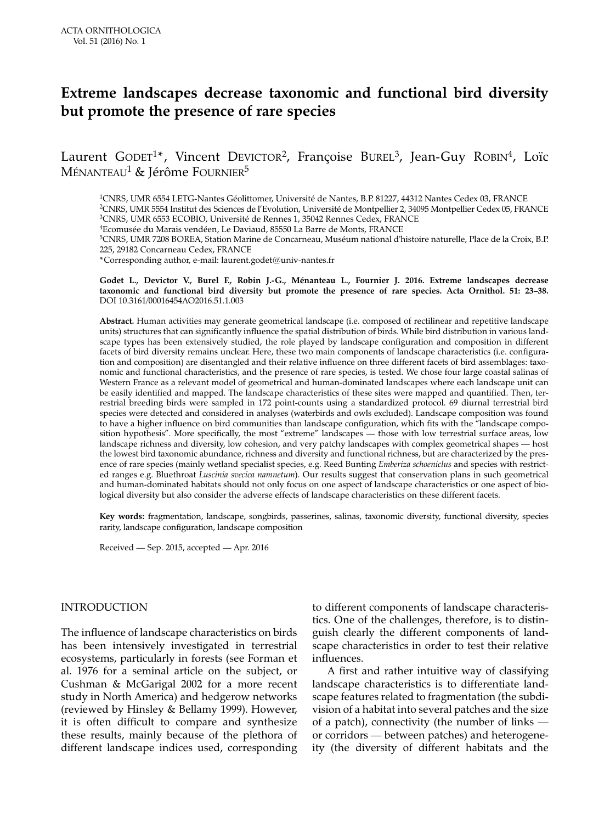# **Extreme landscapes decrease taxonomic and functional bird diversity but promote the presence of rare species**

Laurent GODET<sup>1\*</sup>, Vincent DEVICTOR<sup>2</sup>, Françoise BUREL<sup>3</sup>, Jean-Guy ROBIN<sup>4</sup>, Loïc MÉNANTEAU<sup>1</sup> & Jérôme FOURNIER<sup>5</sup>

1CNRS, UMR 6554 LETG-Nantes Géolittomer, Université de Nantes, B.P. 81227, 44312 Nantes Cedex 03, FRANCE <sup>2</sup>CNRS, UMR 5554 Institut des Sciences de l'Evolution, Université de Montpellier 2, 34095 Montpellier Cedex 05, FRANCE 3CNRS, UMR 6553 ECOBIO, Université de Rennes 1, 35042 Rennes Cedex, FRANCE

4Ecomusée du Marais vendéen, Le Daviaud, 85550 La Barre de Monts, FRANCE

5CNRS, UMR 7208 BOREA, Station Marine de Concarneau, Muséum national d'histoire naturelle, Place de la Croix, B.P. 225, 29182 Concarneau Cedex, FRANCE

\*Corresponding author, e-mail: laurent.godet@univ-nantes.fr

**Godet L., Devictor V., Burel F., Robin J.-G., Ménanteau L., Fournier J. 2016. Extreme landscapes decrease taxonomic and functional bird diversity but promote the presence of rare species. Acta Ornithol. 51: 23–38.**  DOI 10.3161/00016454AO2016.51.1.003

**Abstract.** Human activities may generate geometrical landscape (i.e. composed of rectilinear and repetitive landscape units) structures that can significantly influence the spatial distribution of birds. While bird distribution in various landscape types has been extensively studied, the role played by landscape configuration and composition in different facets of bird diversity remains unclear. Here, these two main components of landscape characteristics (i.e. configuration and composition) are disentangled and their relative influence on three different facets of bird assemblages: taxonomic and functional characteristics, and the presence of rare species, is tested. We chose four large coastal salinas of Western France as a relevant model of geometrical and human-dominated landscapes where each landscape unit can be easily identified and mapped. The landscape characteristics of these sites were mapped and quantified. Then, terrestrial breeding birds were sampled in 172 point-counts using a standardized protocol. 69 diurnal terrestrial bird species were detected and considered in analyses (waterbirds and owls excluded). Landscape composition was found to have a higher influence on bird communities than landscape configuration, which fits with the "landscape composition hypothesis". More specifically, the most "extreme" landscapes — those with low terrestrial surface areas, low landscape richness and diversity, low cohesion, and very patchy landscapes with complex geometrical shapes — host the lowest bird taxonomic abundance, richness and diversity and functional richness, but are characterized by the presence of rare species (mainly wetland specialist species, e.g. Reed Bunting *Emberiza schoeniclus* and species with restricted ranges e.g. Bluethroat *Luscinia svecica namnetum*). Our results suggest that conservation plans in such geometrical and human-dominated habitats should not only focus on one aspect of landscape characteristics or one aspect of biological diversity but also consider the adverse effects of landscape characteristics on these different facets.

**Key words:** fragmentation, landscape, songbirds, passerines, salinas, taxonomic diversity, functional diversity, species rarity, landscape configuration, landscape composition

Received — Sep. 2015, accepted — Apr. 2016

#### INTRODUCTION

The influence of landscape characteristics on birds has been intensively investigated in terrestrial ecosystems, particularly in forests (see Forman et al. 1976 for a seminal article on the subject, or Cushman & McGarigal 2002 for a more recent study in North America) and hedgerow networks (reviewed by Hinsley & Bellamy 1999). However, it is often difficult to compare and synthesize these results, mainly because of the plethora of different landscape indices used, corresponding

to different components of landscape characteristics. One of the challenges, therefore, is to distinguish clearly the different components of landscape characteristics in order to test their relative influences.

A first and rather intuitive way of classifying landscape characteristics is to differentiate landscape features related to fragmentation (the subdivision of a habitat into several patches and the size of a patch), connectivity (the number of links or corridors — between patches) and heterogeneity (the diversity of different habitats and the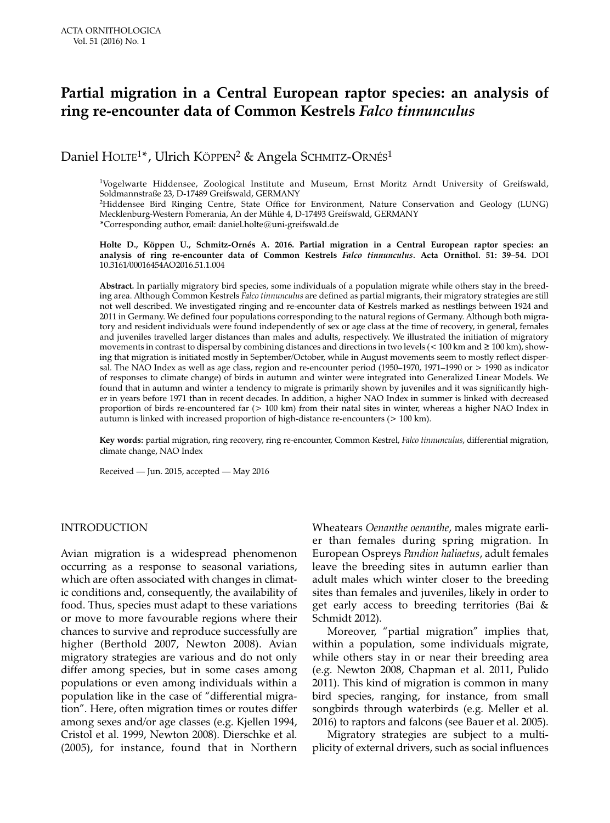## **Partial migration in a Central European raptor species: an analysis of ring re-encounter data of Common Kestrels** *Falco tinnunculus*

### Daniel HOLTE<sup>1\*</sup>, Ulrich KÖPPEN<sup>2</sup> & Angela SCHMITZ-ORNÉS<sup>1</sup>

1Vogelwarte Hiddensee, Zoological Institute and Museum, Ernst Moritz Arndt University of Greifswald, Soldmannstraße 23, D-17489 Greifswald, GERMANY

2Hiddensee Bird Ringing Centre, State Office for Environment, Nature Conservation and Geology (LUNG) Mecklenburg-Western Pomerania, An der Mühle 4, D-17493 Greifswald, GERMANY \*Corresponding author, email: daniel.holte@uni-greifswald.de

#### **Holte D., Köppen U., Schmitz-Ornés A. 2016. Partial migration in a Central European raptor species: an analysis of ring re-encounter data of Common Kestrels** *Falco tinnunculus***. Acta Ornithol. 51: 39–54.** DOI 10.3161/00016454AO2016.51.1.004

**Abstract.** In partially migratory bird species, some individuals of a population migrate while others stay in the breeding area. Although Common Kestrels *Falco tinnunculus* are defined as partial migrants, their migratory strategies are still not well described. We investigated ringing and re-encounter data of Kestrels marked as nestlings between 1924 and 2011 in Germany. We defined four populations corresponding to the natural regions of Germany. Although both migratory and resident individuals were found independently of sex or age class at the time of recovery, in general, females and juveniles travelled larger distances than males and adults, respectively. We illustrated the initiation of migratory movements in contrast to dispersal by combining distances and directions in two levels ( $< 100$  km and  $\ge 100$  km), showing that migration is initiated mostly in September/October, while in August movements seem to mostly reflect dispersal. The NAO Index as well as age class, region and re-encounter period (1950–1970, 1971–1990 or > 1990 as indicator of responses to climate change) of birds in autumn and winter were integrated into Generalized Linear Models. We found that in autumn and winter a tendency to migrate is primarily shown by juveniles and it was significantly higher in years before 1971 than in recent decades. In addition, a higher NAO Index in summer is linked with decreased proportion of birds re-encountered far (> 100 km) from their natal sites in winter, whereas a higher NAO Index in autumn is linked with increased proportion of high-distance re-encounters (> 100 km).

**Key words:** partial migration, ring recovery, ring re-encounter, Common Kestrel, *Falco tinnunculus*, differential migration, climate change, NAO Index

Received — Jun. 2015, accepted — May 2016

### INTRODUCTION

Avian migration is a widespread phenomenon occurring as a response to seasonal variations, which are often associated with changes in climatic conditions and, consequently, the availability of food. Thus, species must adapt to these variations or move to more favourable regions where their chances to survive and reproduce successfully are higher (Berthold 2007, Newton 2008). Avian migratory strategies are various and do not only differ among species, but in some cases among populations or even among individuals within a population like in the case of "differential migration". Here, often migration times or routes differ among sexes and/or age classes (e.g. Kjellen 1994, Cristol et al. 1999, Newton 2008). Dierschke et al. (2005), for instance, found that in Northern Wheatears *Oenanthe oenanthe*, males migrate earlier than females during spring migration. In European Ospreys *Pandion haliaetus*, adult females leave the breeding sites in autumn earlier than adult males which winter closer to the breeding sites than females and juveniles, likely in order to get early access to breeding territories (Bai & Schmidt 2012).

Moreover, "partial migration" implies that, within a population, some individuals migrate, while others stay in or near their breeding area (e.g. Newton 2008, Chapman et al. 2011, Pulido 2011). This kind of migration is common in many bird species, ranging, for instance, from small songbirds through waterbirds (e.g. Meller et al. 2016) to raptors and falcons (see Bauer et al. 2005).

Migratory strategies are subject to a multiplicity of external drivers, such as social influences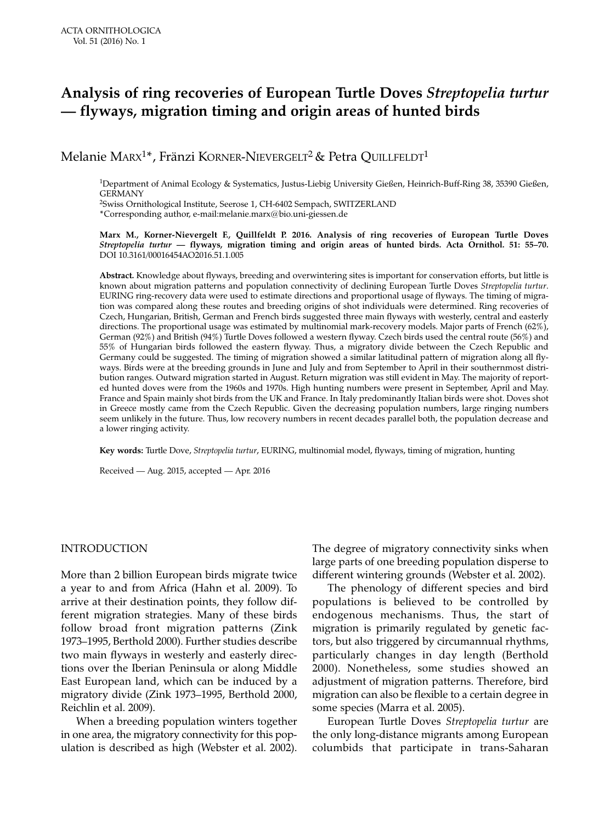# **Analysis of ring recoveries of European Turtle Doves** *Streptopelia turtur* **— flyways, migration timing and origin areas of hunted birds**

### Melanie MARX<sup>1\*</sup>, Fränzi KORNER-NIEVERGELT<sup>2</sup> & Petra OUILLFELDT<sup>1</sup>

1Department of Animal Ecology & Systematics, Justus-Liebig University Gießen, Heinrich-Buff-Ring 38, 35390 Gießen, GERMANY

2Swiss Ornithological Institute, Seerose 1, CH-6402 Sempach, SWITZERLAND \*Corresponding author, e-mail:melanie.marx@bio.uni-giessen.de

#### **Marx M., Korner-Nievergelt F., Quillfeldt P. 2016. Analysis of ring recoveries of European Turtle Doves**  *Streptopelia turtur* **— flyways, migration timing and origin areas of hunted birds. Acta Ornithol. 51: 55–70.**  DOI 10.3161/00016454AO2016.51.1.005

**Abstract.** Knowledge about flyways, breeding and overwintering sites is important for conservation efforts, but little is known about migration patterns and population connectivity of declining European Turtle Doves *Streptopelia turtur*. EURING ring-recovery data were used to estimate directions and proportional usage of flyways. The timing of migration was compared along these routes and breeding origins of shot individuals were determined. Ring recoveries of Czech, Hungarian, British, German and French birds suggested three main flyways with westerly, central and easterly directions. The proportional usage was estimated by multinomial mark-recovery models. Major parts of French  $(62\%)$ , German (92%) and British (94%) Turtle Doves followed a western flyway. Czech birds used the central route (56%) and 55% of Hungarian birds followed the eastern flyway. Thus, a migratory divide between the Czech Republic and Germany could be suggested. The timing of migration showed a similar latitudinal pattern of migration along all flyways. Birds were at the breeding grounds in June and July and from September to April in their southernmost distribution ranges. Outward migration started in August. Return migration was still evident in May. The majority of reported hunted doves were from the 1960s and 1970s. High hunting numbers were present in September, April and May. France and Spain mainly shot birds from the UK and France. In Italy predominantly Italian birds were shot. Doves shot in Greece mostly came from the Czech Republic. Given the decreasing population numbers, large ringing numbers seem unlikely in the future. Thus, low recovery numbers in recent decades parallel both, the population decrease and a lower ringing activity.

**Key words:** Turtle Dove, *Streptopelia turtur*, EURING, multinomial model, flyways, timing of migration, hunting

Received — Aug. 2015, accepted — Apr. 2016

### INTRODUCTION

More than 2 billion European birds migrate twice a year to and from Africa (Hahn et al. 2009). To arrive at their destination points, they follow different migration strategies. Many of these birds follow broad front migration patterns (Zink 1973–1995, Berthold 2000). Further studies describe two main flyways in westerly and easterly directions over the Iberian Peninsula or along Middle East European land, which can be induced by a migratory divide (Zink 1973–1995, Berthold 2000, Reichlin et al. 2009).

When a breeding population winters together in one area, the migratory connectivity for this population is described as high (Webster et al. 2002).

The degree of migratory connectivity sinks when large parts of one breeding population disperse to different wintering grounds (Webster et al. 2002).

The phenology of different species and bird populations is believed to be controlled by endogenous mechanisms. Thus, the start of migration is primarily regulated by genetic factors, but also triggered by circumannual rhythms, particularly changes in day length (Berthold 2000). Nonetheless, some studies showed an adjustment of migration patterns. Therefore, bird migration can also be flexible to a certain degree in some species (Marra et al. 2005).

European Turtle Doves *Streptopelia turtur* are the only long-distance migrants among European columbids that participate in trans-Saharan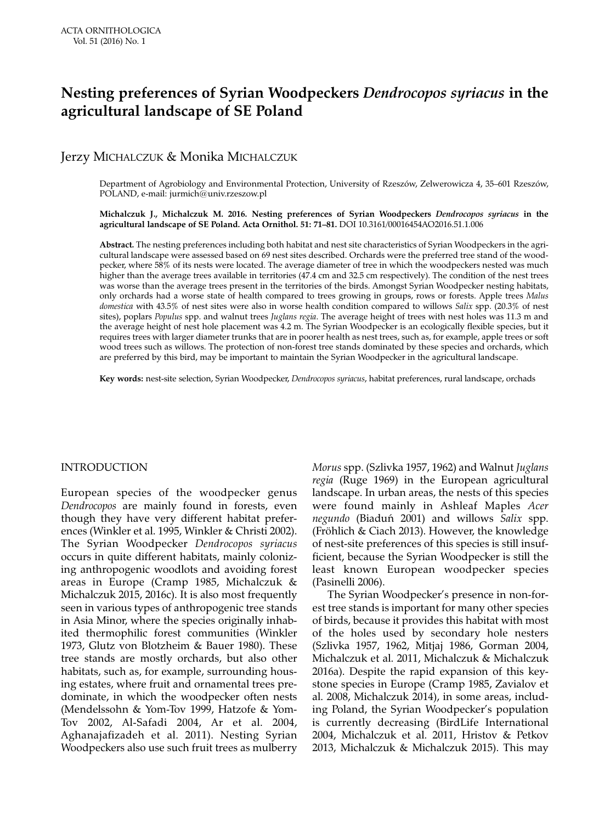# **Nesting preferences of Syrian Woodpeckers** *Dendrocopos syriacus* **in the agricultural landscape of SE Poland**

### Jerzy MICHALCZUK & Monika MICHALCZUK

Department of Agrobiology and Environmental Protection, University of Rzeszów, Zelwerowicza 4, 35–601 Rzeszów, POLAND, e-mail: jurmich@univ.rzeszow.pl

**Michalczuk J., Michalczuk M. 2016. Nesting preferences of Syrian Woodpeckers** *Dendrocopos syriacus* **in the agricultural landscape of SE Poland. Acta Ornithol. 51: 71–81.** DOI 10.3161/00016454AO2016.51.1.006

**Abstract.** The nesting preferences including both habitat and nest site characteristics of Syrian Woodpeckers in the agricultural landscape were assessed based on 69 nest sites described. Orchards were the preferred tree stand of the woodpecker, where 58% of its nests were located. The average diameter of tree in which the woodpeckers nested was much higher than the average trees available in territories (47.4 cm and 32.5 cm respectively). The condition of the nest trees was worse than the average trees present in the territories of the birds. Amongst Syrian Woodpecker nesting habitats, only orchards had a worse state of health compared to trees growing in groups, rows or forests. Apple trees *Malus domestica* with 43.5% of nest sites were also in worse health condition compared to willows *Salix* spp. (20.3% of nest sites), poplars *Populus* spp. and walnut trees *Juglans regia*. The average height of trees with nest holes was 11.3 m and the average height of nest hole placement was 4.2 m. The Syrian Woodpecker is an ecologically flexible species, but it requires trees with larger diameter trunks that are in poorer health as nest trees, such as, for example, apple trees or soft wood trees such as willows. The protection of non-forest tree stands dominated by these species and orchards, which are preferred by this bird, may be important to maintain the Syrian Woodpecker in the agricultural landscape.

**Key words:** nest-site selection, Syrian Woodpecker, *Dendrocopos syriacus*, habitat preferences, rural landscape, orchads

### INTRODUCTION

European species of the woodpecker genus *Dendrocopos* are mainly found in forests, even though they have very different habitat preferences (Winkler et al. 1995, Winkler & Christi 2002). The Syrian Woodpecker *Dendrocopos syriacus* occurs in quite different habitats, mainly colonizing anthropogenic woodlots and avoiding forest areas in Europe (Cramp 1985, Michalczuk & Michalczuk 2015, 2016c). It is also most frequently seen in various types of anthropogenic tree stands in Asia Minor, where the species originally inhabited thermophilic forest communities (Winkler 1973, Glutz von Blotzheim & Bauer 1980). These tree stands are mostly orchards, but also other habitats, such as, for example, surrounding housing estates, where fruit and ornamental trees predominate, in which the woodpecker often nests (Mendelssohn & Yom-Tov 1999, Hatzofe & Yom-Tov 2002, Al-Safadi 2004, Ar et al. 2004, Aghanajafizadeh et al. 2011). Nesting Syrian Woodpeckers also use such fruit trees as mulberry *Morus* spp. (Szlivka 1957, 1962) and Walnut *Juglans regia* (Ruge 1969) in the European agricultural landscape. In urban areas, the nests of this species were found mainly in Ashleaf Maples *Acer negundo* (Biaduń 2001) and willows *Salix* spp. (Fröhlich & Ciach 2013). However, the knowledge of nest-site preferences of this species is still insufficient, because the Syrian Woodpecker is still the least known European woodpecker species (Pasinelli 2006).

The Syrian Woodpecker's presence in non-forest tree stands is important for many other species of birds, because it provides this habitat with most of the holes used by secondary hole nesters (Szlivka 1957, 1962, Mitjaj 1986, Gorman 2004, Michalczuk et al. 2011, Michalczuk & Michalczuk 2016a). Despite the rapid expansion of this keystone species in Europe (Cramp 1985, Zavialov et al. 2008, Michalczuk 2014), in some areas, including Poland, the Syrian Woodpecker's population is currently decreasing (BirdLife International 2004, Michalczuk et al. 2011, Hristov & Petkov 2013, Michalczuk & Michalczuk 2015). This may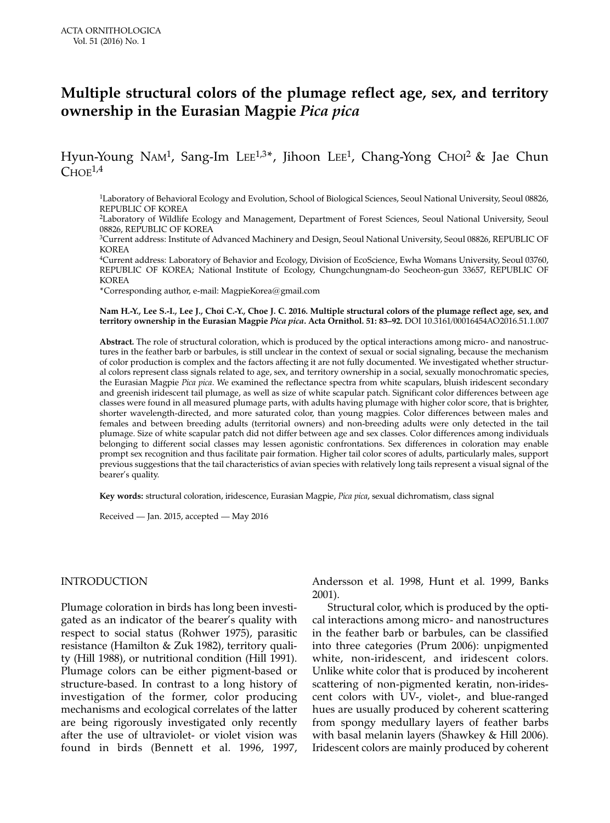# **Multiple structural colors of the plumage reflect age, sex, and territory ownership in the Eurasian Magpie** *Pica pica*

Hyun-Young NAM<sup>1</sup>, Sang-Im LEE<sup>1,3\*</sup>, Jihoon LEE<sup>1</sup>, Chang-Yong CHOI<sup>2</sup> & Jae Chun  $CHOF<sup>1,4</sup>$ 

<sup>1</sup>Laboratory of Behavioral Ecology and Evolution, School of Biological Sciences, Seoul National University, Seoul 08826, REPUBLIC OF KOREA

2Laboratory of Wildlife Ecology and Management, Department of Forest Sciences, Seoul National University, Seoul 08826, REPUBLIC OF KOREA

3Current address: Institute of Advanced Machinery and Design, Seoul National University, Seoul 08826, REPUBLIC OF KOREA

4Current address: Laboratory of Behavior and Ecology, Division of EcoScience, Ewha Womans University, Seoul 03760, REPUBLIC OF KOREA; National Institute of Ecology, Chungchungnam-do Seocheon-gun 33657, REPUBLIC OF KOREA

\*Corresponding author, e-mail: MagpieKorea@gmail.com

**Nam H.-Y., Lee S.-I., Lee J., Choi C.-Y., Choe J. C. 2016. Multiple structural colors of the plumage reflect age, sex, and territory ownership in the Eurasian Magpie** *Pica pica***. Acta Ornithol. 51: 83–92.** DOI 10.3161/00016454AO2016.51.1.007

**Abstract.** The role of structural coloration, which is produced by the optical interactions among micro- and nanostructures in the feather barb or barbules, is still unclear in the context of sexual or social signaling, because the mechanism of color production is complex and the factors affecting it are not fully documented. We investigated whether structural colors represent class signals related to age, sex, and territory ownership in a social, sexually monochromatic species, the Eurasian Magpie *Pica pica*. We examined the reflectance spectra from white scapulars, bluish iridescent secondary and greenish iridescent tail plumage, as well as size of white scapular patch. Significant color differences between age classes were found in all measured plumage parts, with adults having plumage with higher color score, that is brighter, shorter wavelength-directed, and more saturated color, than young magpies. Color differences between males and females and between breeding adults (territorial owners) and non-breeding adults were only detected in the tail plumage. Size of white scapular patch did not differ between age and sex classes. Color differences among individuals belonging to different social classes may lessen agonistic confrontations. Sex differences in coloration may enable prompt sex recognition and thus facilitate pair formation. Higher tail color scores of adults, particularly males, support previous suggestions that the tail characteristics of avian species with relatively long tails represent a visual signal of the bearer's quality.

**Key words:** structural coloration, iridescence, Eurasian Magpie, *Pica pica*, sexual dichromatism, class signal

Received — Jan. 2015, accepted — May 2016

#### INTRODUCTION

Plumage coloration in birds has long been investigated as an indicator of the bearer's quality with respect to social status (Rohwer 1975), parasitic resistance (Hamilton & Zuk 1982), territory quality (Hill 1988), or nutritional condition (Hill 1991). Plumage colors can be either pigment-based or structure-based. In contrast to a long history of investigation of the former, color producing mechanisms and ecological correlates of the latter are being rigorously investigated only recently after the use of ultraviolet- or violet vision was found in birds (Bennett et al. 1996, 1997, Andersson et al. 1998, Hunt et al. 1999, Banks 2001).

Structural color, which is produced by the optical interactions among micro- and nanostructures in the feather barb or barbules, can be classified into three categories (Prum 2006): unpigmented white, non-iridescent, and iridescent colors. Unlike white color that is produced by incoherent scattering of non-pigmented keratin, non-iridescent colors with UV-, violet-, and blue-ranged hues are usually produced by coherent scattering from spongy medullary layers of feather barbs with basal melanin layers (Shawkey & Hill 2006). Iridescent colors are mainly produced by coherent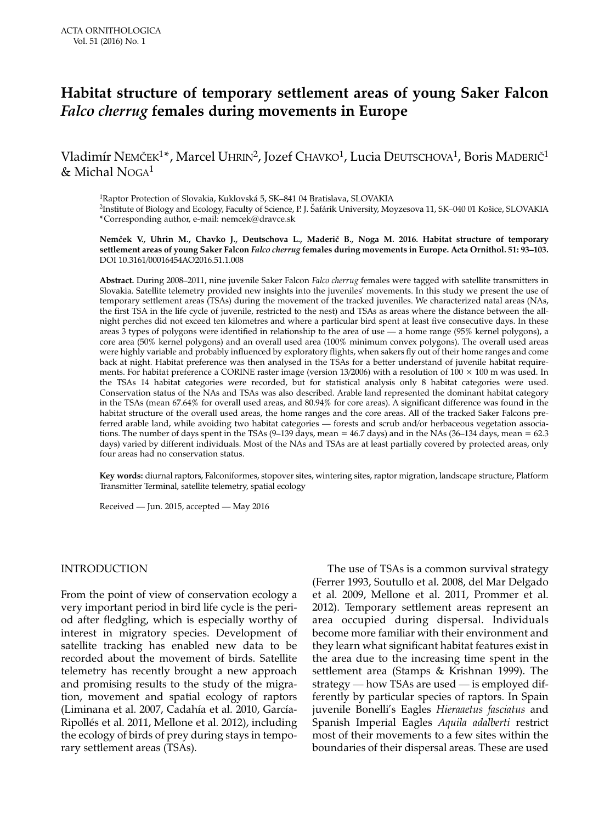## **Habitat structure of temporary settlement areas of young Saker Falcon** *Falco cherrug* **females during movements in Europe**

Vladimír NEMČEK<sup>1\*</sup>, Marcel UHRIN<sup>2</sup>, Jozef CHAVKO<sup>1</sup>, Lucia DEUTSCHOVA<sup>1</sup>, Boris MADERIČ<sup>1</sup> & Michal NOGA1

<sup>1</sup>Raptor Protection of Slovakia, Kuklovská 5, SK-841 04 Bratislava, SLOVAKIA 2Institute of Biology and Ecology, Faculty of Science, P. J. Šafárik University, Moyzesova 11, SK–040 01 Košice, SLOVAKIA \*Corresponding author, e-mail: nemcek@dravce.sk

#### **Nemček V., Uhrin M., Chavko J., Deutschova L., Maderič B., Noga M. 2016. Habitat structure of temporary settlement areas of young Saker Falcon** *Falco cherrug* **females during movements in Europe. Acta Ornithol. 51: 93–103.** DOI 10.3161/00016454AO2016.51.1.008

**Abstract.** During 2008–2011, nine juvenile Saker Falcon *Falco cherrug* females were tagged with satellite transmitters in Slovakia. Satellite telemetry provided new insights into the juveniles' movements. In this study we present the use of temporary settlement areas (TSAs) during the movement of the tracked juveniles. We characterized natal areas (NAs, the first TSA in the life cycle of juvenile, restricted to the nest) and TSAs as areas where the distance between the allnight perches did not exceed ten kilometres and where a particular bird spent at least five consecutive days. In these areas 3 types of polygons were identified in relationship to the area of use — a home range (95% kernel polygons), a core area (50% kernel polygons) and an overall used area (100% minimum convex polygons). The overall used areas were highly variable and probably influenced by exploratory flights, when sakers fly out of their home ranges and come back at night. Habitat preference was then analysed in the TSAs for a better understand of juvenile habitat requirements. For habitat preference a CORINE raster image (version  $13/2006$ ) with a resolution of  $100 \times 100$  m was used. In the TSAs 14 habitat categories were recorded, but for statistical analysis only 8 habitat categories were used. Conservation status of the NAs and TSAs was also described. Arable land represented the dominant habitat category in the TSAs (mean 67.64% for overall used areas, and 80.94% for core areas). A significant difference was found in the habitat structure of the overall used areas, the home ranges and the core areas. All of the tracked Saker Falcons preferred arable land, while avoiding two habitat categories — forests and scrub and/or herbaceous vegetation associations. The number of days spent in the TSAs (9–139 days, mean = 46.7 days) and in the NAs (36–134 days, mean = 62.3 days) varied by different individuals. Most of the NAs and TSAs are at least partially covered by protected areas, only four areas had no conservation status.

**Key words:** diurnal raptors, Falconiformes, stopover sites, wintering sites, raptor migration, landscape structure, Platform Transmitter Terminal, satellite telemetry, spatial ecology

Received — Jun. 2015, accepted — May 2016

#### INTRODUCTION

From the point of view of conservation ecology a very important period in bird life cycle is the period after fledgling, which is especially worthy of interest in migratory species. Development of satellite tracking has enabled new data to be recorded about the movement of birds. Satellite telemetry has recently brought a new approach and promising results to the study of the migration, movement and spatial ecology of raptors (Liminana et al. 2007, Cadahía et al. 2010, García-Ripollés et al. 2011, Mellone et al. 2012), including the ecology of birds of prey during stays in temporary settlement areas (TSAs).

The use of TSAs is a common survival strategy (Ferrer 1993, Soutullo et al. 2008, del Mar Delgado et al. 2009, Mellone et al. 2011, Prommer et al. 2012). Temporary settlement areas represent an area occupied during dispersal. Individuals become more familiar with their environment and they learn what significant habitat features exist in the area due to the increasing time spent in the settlement area (Stamps & Krishnan 1999). The strategy — how TSAs are used — is employed differently by particular species of raptors. In Spain juvenile Bonelli's Eagles *Hieraaetus fasciatus* and Spanish Imperial Eagles *Aquila adalberti* restrict most of their movements to a few sites within the boundaries of their dispersal areas. These are used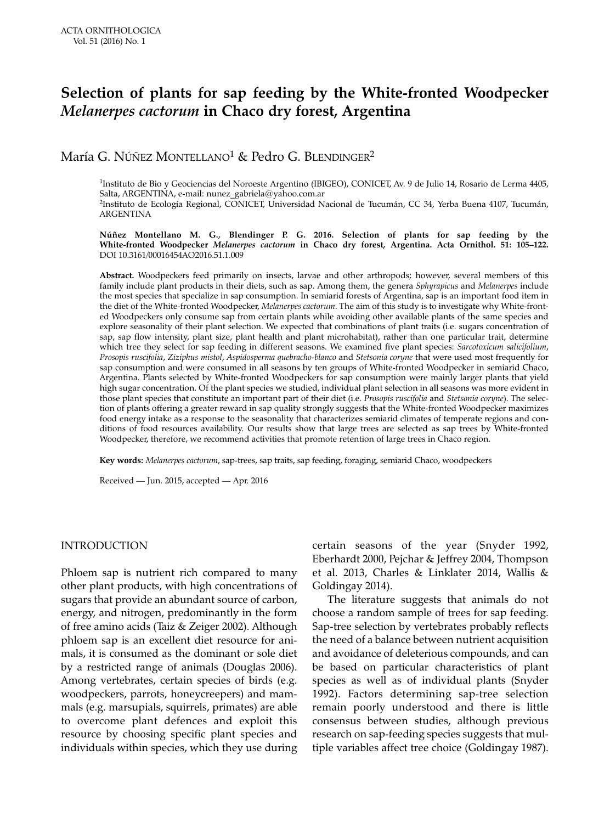# **Selection of plants for sap feeding by the White-fronted Woodpecker** *Melanerpes cactorum* **in Chaco dry forest, Argentina**

### María G. NÚÑEZ MONTELLANO<sup>1</sup> & Pedro G. BLENDINGER<sup>2</sup>

<sup>1</sup>Instituto de Bio y Geociencias del Noroeste Argentino (IBIGEO), CONICET, Av. 9 de Julio 14, Rosario de Lerma 4405, Salta, ARGENTINA, e-mail: nunez\_gabriela@yahoo.com.ar

2Instituto de Ecología Regional, CONICET, Universidad Nacional de Tucumán, CC 34, Yerba Buena 4107, Tucumán, ARGENTINA

#### **Núñez Montellano M. G., Blendinger P. G. 2016. Selection of plants for sap feeding by the White-fronted Woodpecker** *Melanerpes cactorum* **in Chaco dry forest, Argentina. Acta Ornithol. 51: 105–122.**  DOI 10.3161/00016454AO2016.51.1.009

**Abstract.** Woodpeckers feed primarily on insects, larvae and other arthropods; however, several members of this family include plant products in their diets, such as sap. Among them, the genera *Sphyrapicus* and *Melanerpes* include the most species that specialize in sap consumption. In semiarid forests of Argentina, sap is an important food item in the diet of the White-fronted Woodpecker, *Melanerpes cactorum*. The aim of this study is to investigate why White-fronted Woodpeckers only consume sap from certain plants while avoiding other available plants of the same species and explore seasonality of their plant selection. We expected that combinations of plant traits (i.e. sugars concentration of sap, sap flow intensity, plant size, plant health and plant microhabitat), rather than one particular trait, determine which tree they select for sap feeding in different seasons. We examined five plant species: *Sarcotoxicum salicifolium*, *Prosopis ruscifolia*, *Ziziphus mistol*, *Aspidosperma quebracho-blanco* and *Stetsonia coryne* that were used most frequently for sap consumption and were consumed in all seasons by ten groups of White-fronted Woodpecker in semiarid Chaco, Argentina. Plants selected by White-fronted Woodpeckers for sap consumption were mainly larger plants that yield high sugar concentration. Of the plant species we studied, individual plant selection in all seasons was more evident in those plant species that constitute an important part of their diet (i.e. *Prosopis ruscifolia* and *Stetsonia coryne*). The selection of plants offering a greater reward in sap quality strongly suggests that the White-fronted Woodpecker maximizes food energy intake as a response to the seasonality that characterizes semiarid climates of temperate regions and conditions of food resources availability. Our results show that large trees are selected as sap trees by White-fronted Woodpecker, therefore, we recommend activities that promote retention of large trees in Chaco region.

**Key words:** *Melanerpes cactorum*, sap-trees, sap traits, sap feeding, foraging, semiarid Chaco, woodpeckers

Received — Jun. 2015, accepted — Apr. 2016

### INTRODUCTION

Phloem sap is nutrient rich compared to many other plant products, with high concentrations of sugars that provide an abundant source of carbon, energy, and nitrogen, predominantly in the form of free amino acids (Taiz & Zeiger 2002). Although phloem sap is an excellent diet resource for animals, it is consumed as the dominant or sole diet by a restricted range of animals (Douglas 2006). Among vertebrates, certain species of birds (e.g. woodpeckers, parrots, honeycreepers) and mammals (e.g. marsupials, squirrels, primates) are able to overcome plant defences and exploit this resource by choosing specific plant species and individuals within species, which they use during

certain seasons of the year (Snyder 1992, Eberhardt 2000, Pejchar & Jeffrey 2004, Thompson et al. 2013, Charles & Linklater 2014, Wallis & Goldingay 2014).

The literature suggests that animals do not choose a random sample of trees for sap feeding. Sap-tree selection by vertebrates probably reflects the need of a balance between nutrient acquisition and avoidance of deleterious compounds, and can be based on particular characteristics of plant species as well as of individual plants (Snyder 1992). Factors determining sap-tree selection remain poorly understood and there is little consensus between studies, although previous research on sap-feeding species suggests that multiple variables affect tree choice (Goldingay 1987).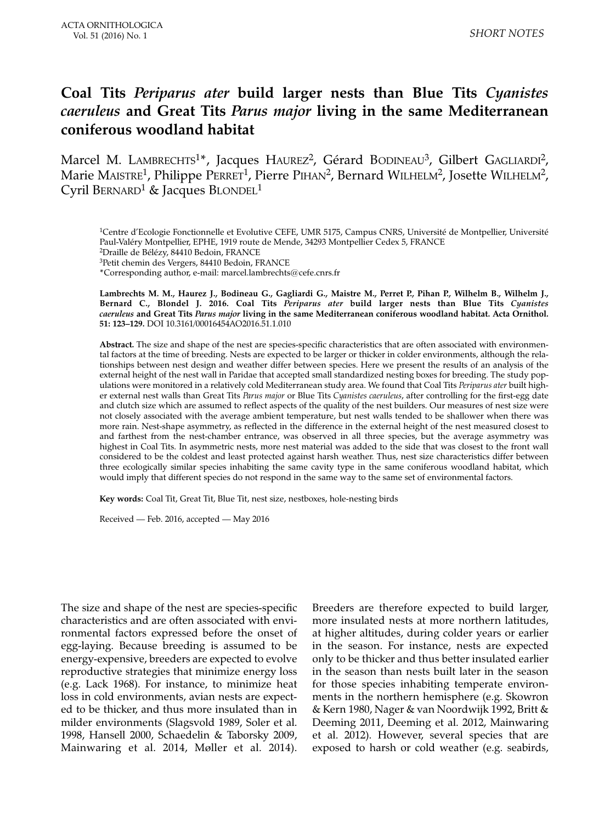# **Coal Tits** *Periparus ater* **build larger nests than Blue Tits** *Cyanistes caeruleus* **and Great Tits** *Parus major* **living in the same Mediterranean coniferous woodland habitat**

Marcel M. LAMBRECHTS<sup>1\*</sup>, Jacques HAUREZ<sup>2</sup>, Gérard BODINEAU<sup>3</sup>, Gilbert GAGLIARDI<sup>2</sup>, Marie MAISTRE<sup>1</sup>, Philippe PERRET<sup>1</sup>, Pierre PIHAN<sup>2</sup>, Bernard WILHELM<sup>2</sup>, Josette WILHELM<sup>2</sup>, Cyril BERNARD<sup>1</sup> & Jacques BLONDEL<sup>1</sup>

<sup>1</sup>Centre d'Ecologie Fonctionnelle et Evolutive CEFE, UMR 5175, Campus CNRS, Université de Montpellier, Université Paul-Valéry Montpellier, EPHE, 1919 route de Mende, 34293 Montpellier Cedex 5, FRANCE 2Draille de Bélézy, 84410 Bedoin, FRANCE 3Petit chemin des Vergers, 84410 Bedoin, FRANCE

\*Corresponding author, e-mail: marcel.lambrechts@cefe.cnrs.fr

**Lambrechts M. M., Haurez J., Bodineau G., Gagliardi G., Maistre M., Perret P., Pihan P., Wilhelm B., Wilhelm J., Bernard C., Blondel J. 2016. Coal Tits** *Periparus ater* **build larger nests than Blue Tits** *Cyanistes caeruleus* **and Great Tits** *Parus major* **living in the same Mediterranean coniferous woodland habitat. Acta Ornithol. 51: 123–129.** DOI 10.3161/00016454AO2016.51.1.010

**Abstract.** The size and shape of the nest are species-specific characteristics that are often associated with environmental factors at the time of breeding. Nests are expected to be larger or thicker in colder environments, although the relationships between nest design and weather differ between species. Here we present the results of an analysis of the external height of the nest wall in Paridae that accepted small standardized nesting boxes for breeding. The study populations were monitored in a relatively cold Mediterranean study area. We found that Coal Tits *Periparus ater* built higher external nest walls than Great Tits *Parus major* or Blue Tits *Cyanistes caeruleus*, after controlling for the first-egg date and clutch size which are assumed to reflect aspects of the quality of the nest builders. Our measures of nest size were not closely associated with the average ambient temperature, but nest walls tended to be shallower when there was more rain. Nest-shape asymmetry, as reflected in the difference in the external height of the nest measured closest to and farthest from the nest-chamber entrance, was observed in all three species, but the average asymmetry was highest in Coal Tits. In asymmetric nests, more nest material was added to the side that was closest to the front wall considered to be the coldest and least protected against harsh weather. Thus, nest size characteristics differ between three ecologically similar species inhabiting the same cavity type in the same coniferous woodland habitat, which would imply that different species do not respond in the same way to the same set of environmental factors.

**Key words:** Coal Tit, Great Tit, Blue Tit, nest size, nestboxes, hole-nesting birds

Received — Feb. 2016, accepted — May 2016

The size and shape of the nest are species-specific characteristics and are often associated with environmental factors expressed before the onset of egg-laying. Because breeding is assumed to be energy-expensive, breeders are expected to evolve reproductive strategies that minimize energy loss (e.g. Lack 1968). For instance, to minimize heat loss in cold environments, avian nests are expected to be thicker, and thus more insulated than in milder environments (Slagsvold 1989, Soler et al. 1998, Hansell 2000, Schaedelin & Taborsky 2009, Mainwaring et al. 2014, Møller et al. 2014).

Breeders are therefore expected to build larger, more insulated nests at more northern latitudes, at higher altitudes, during colder years or earlier in the season. For instance, nests are expected only to be thicker and thus better insulated earlier in the season than nests built later in the season for those species inhabiting temperate environments in the northern hemisphere (e.g. Skowron & Kern 1980, Nager & van Noordwijk 1992, Britt & Deeming 2011, Deeming et al. 2012, Mainwaring et al. 2012). However, several species that are exposed to harsh or cold weather (e.g. seabirds,